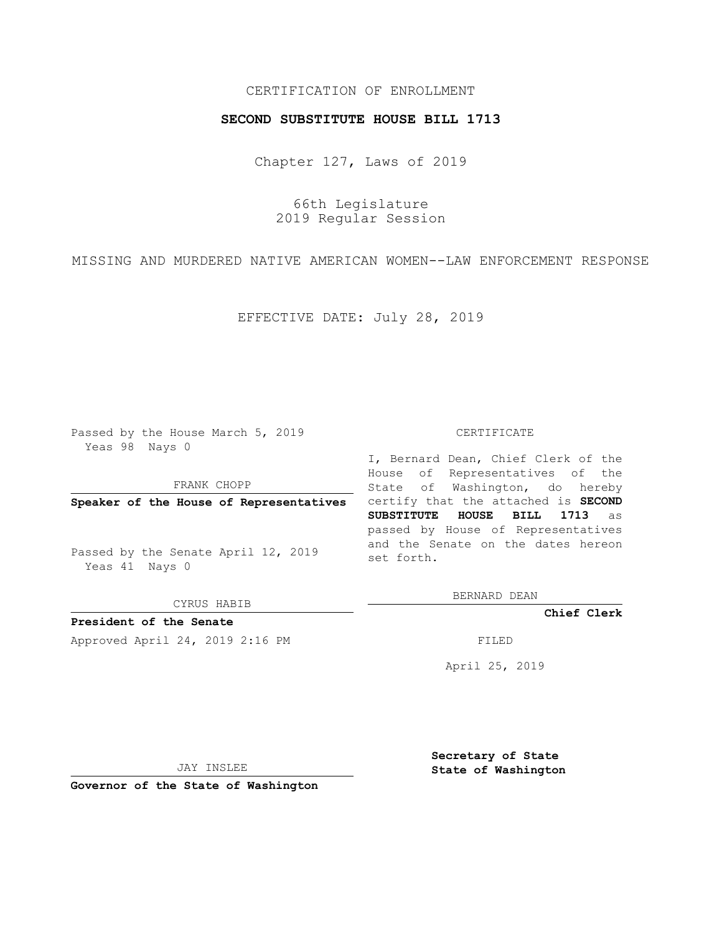# CERTIFICATION OF ENROLLMENT

### **SECOND SUBSTITUTE HOUSE BILL 1713**

Chapter 127, Laws of 2019

66th Legislature 2019 Regular Session

MISSING AND MURDERED NATIVE AMERICAN WOMEN--LAW ENFORCEMENT RESPONSE

EFFECTIVE DATE: July 28, 2019

Passed by the House March 5, 2019 Yeas 98 Nays 0

FRANK CHOPP

Passed by the Senate April 12, 2019 Yeas 41 Nays 0

CYRUS HABIB

**President of the Senate**

Approved April 24, 2019 2:16 PM FILED

#### CERTIFICATE

**Speaker of the House of Representatives** certify that the attached is **SECOND** I, Bernard Dean, Chief Clerk of the House of Representatives of the State of Washington, do hereby **SUBSTITUTE HOUSE BILL 1713** as passed by House of Representatives and the Senate on the dates hereon set forth.

BERNARD DEAN

**Chief Clerk**

April 25, 2019

JAY INSLEE

**Governor of the State of Washington**

**Secretary of State State of Washington**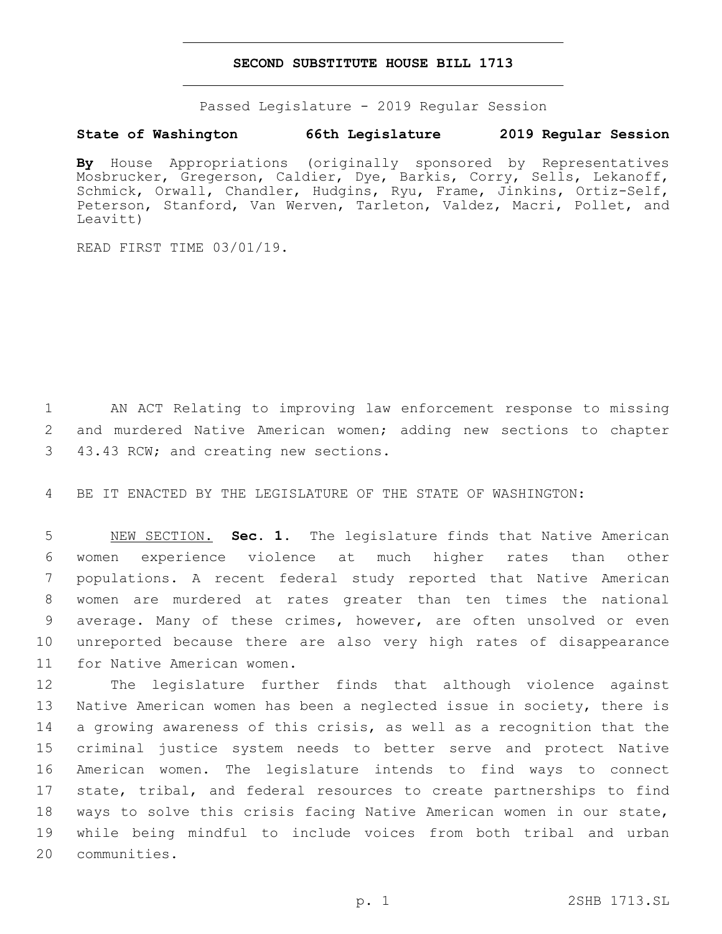### **SECOND SUBSTITUTE HOUSE BILL 1713**

Passed Legislature - 2019 Regular Session

# **State of Washington 66th Legislature 2019 Regular Session**

**By** House Appropriations (originally sponsored by Representatives Mosbrucker, Gregerson, Caldier, Dye, Barkis, Corry, Sells, Lekanoff, Schmick, Orwall, Chandler, Hudgins, Ryu, Frame, Jinkins, Ortiz-Self, Peterson, Stanford, Van Werven, Tarleton, Valdez, Macri, Pollet, and Leavitt)

READ FIRST TIME 03/01/19.

1 AN ACT Relating to improving law enforcement response to missing 2 and murdered Native American women; adding new sections to chapter 3 43.43 RCW; and creating new sections.

4 BE IT ENACTED BY THE LEGISLATURE OF THE STATE OF WASHINGTON:

 NEW SECTION. **Sec. 1.** The legislature finds that Native American women experience violence at much higher rates than other populations. A recent federal study reported that Native American women are murdered at rates greater than ten times the national average. Many of these crimes, however, are often unsolved or even unreported because there are also very high rates of disappearance for Native American women.

 The legislature further finds that although violence against Native American women has been a neglected issue in society, there is a growing awareness of this crisis, as well as a recognition that the criminal justice system needs to better serve and protect Native American women. The legislature intends to find ways to connect state, tribal, and federal resources to create partnerships to find ways to solve this crisis facing Native American women in our state, while being mindful to include voices from both tribal and urban 20 communities.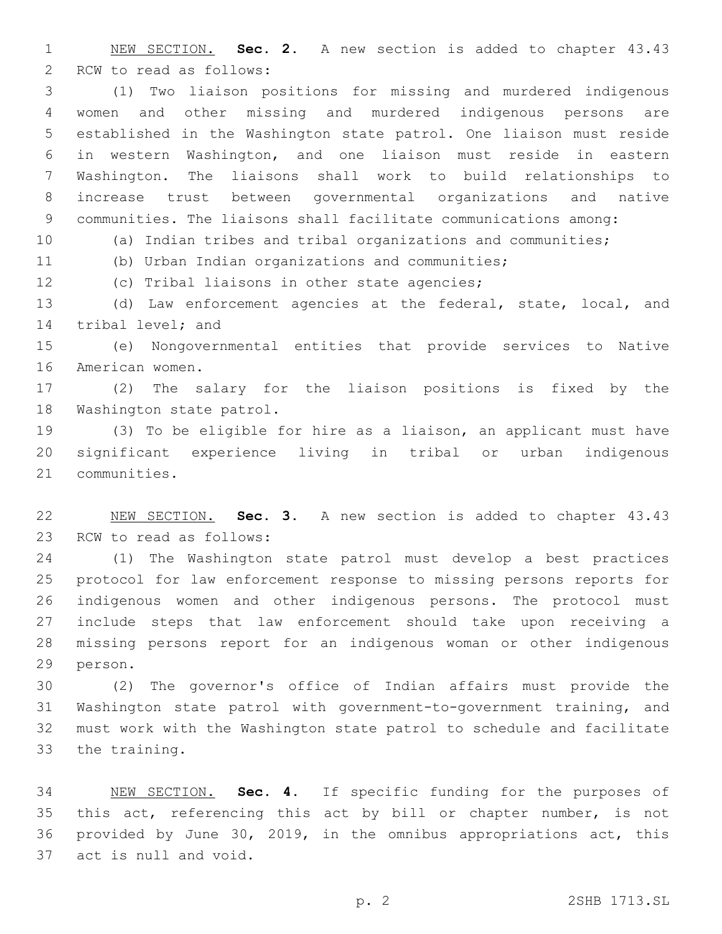NEW SECTION. **Sec. 2.** A new section is added to chapter 43.43 2 RCW to read as follows:

 (1) Two liaison positions for missing and murdered indigenous women and other missing and murdered indigenous persons are established in the Washington state patrol. One liaison must reside in western Washington, and one liaison must reside in eastern Washington. The liaisons shall work to build relationships to increase trust between governmental organizations and native communities. The liaisons shall facilitate communications among:

(a) Indian tribes and tribal organizations and communities;

(b) Urban Indian organizations and communities;

12 (c) Tribal liaisons in other state agencies;

 (d) Law enforcement agencies at the federal, state, local, and 14 tribal level; and

 (e) Nongovernmental entities that provide services to Native 16 American women.

 (2) The salary for the liaison positions is fixed by the 18 Washington state patrol.

 (3) To be eligible for hire as a liaison, an applicant must have significant experience living in tribal or urban indigenous 21 communities.

 NEW SECTION. **Sec. 3.** A new section is added to chapter 43.43 23 RCW to read as follows:

 (1) The Washington state patrol must develop a best practices protocol for law enforcement response to missing persons reports for indigenous women and other indigenous persons. The protocol must include steps that law enforcement should take upon receiving a missing persons report for an indigenous woman or other indigenous 29 person.

 (2) The governor's office of Indian affairs must provide the Washington state patrol with government-to-government training, and must work with the Washington state patrol to schedule and facilitate 33 the training.

 NEW SECTION. **Sec. 4.** If specific funding for the purposes of this act, referencing this act by bill or chapter number, is not provided by June 30, 2019, in the omnibus appropriations act, this act is null and void.